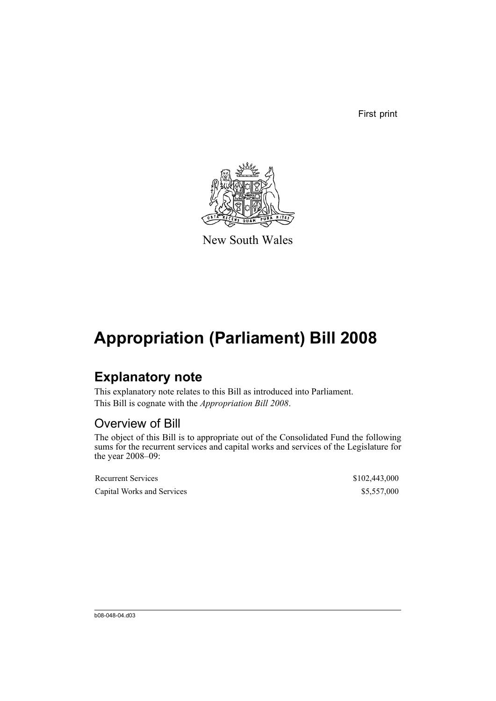First print



New South Wales

## **Appropriation (Parliament) Bill 2008**

### **Explanatory note**

This explanatory note relates to this Bill as introduced into Parliament. This Bill is cognate with the *Appropriation Bill 2008*.

### Overview of Bill

The object of this Bill is to appropriate out of the Consolidated Fund the following sums for the recurrent services and capital works and services of the Legislature for the year 2008–09:

| <b>Recurrent Services</b>  | \$102,443,000 |
|----------------------------|---------------|
| Capital Works and Services | \$5,557,000   |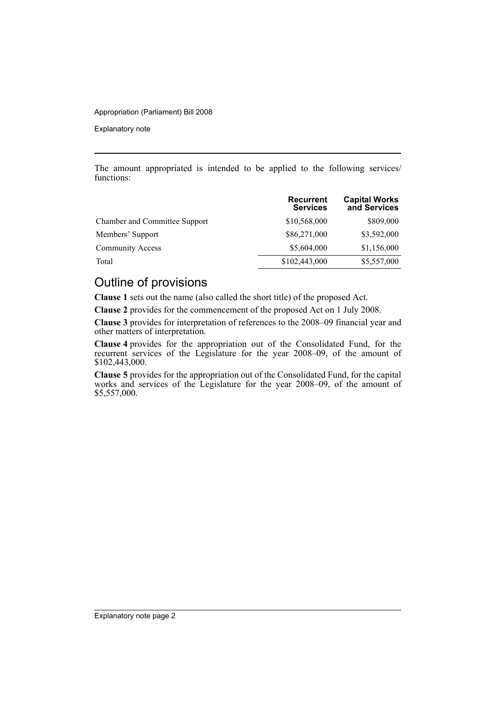#### Appropriation (Parliament) Bill 2008

Explanatory note

The amount appropriated is intended to be applied to the following services/ functions:

|                               | <b>Recurrent</b><br><b>Services</b> | <b>Capital Works</b><br>and Services |
|-------------------------------|-------------------------------------|--------------------------------------|
| Chamber and Committee Support | \$10,568,000                        | \$809,000                            |
| Members' Support              | \$86,271,000                        | \$3,592,000                          |
| <b>Community Access</b>       | \$5,604,000                         | \$1,156,000                          |
| Total                         | \$102,443,000                       | \$5,557,000                          |

### Outline of provisions

**Clause 1** sets out the name (also called the short title) of the proposed Act.

**Clause 2** provides for the commencement of the proposed Act on 1 July 2008.

**Clause 3** provides for interpretation of references to the 2008–09 financial year and other matters of interpretation.

**Clause 4** provides for the appropriation out of the Consolidated Fund, for the recurrent services of the Legislature for the year 2008–09, of the amount of \$102,443,000.

**Clause 5** provides for the appropriation out of the Consolidated Fund, for the capital works and services of the Legislature for the year 2008–09, of the amount of \$5,557,000.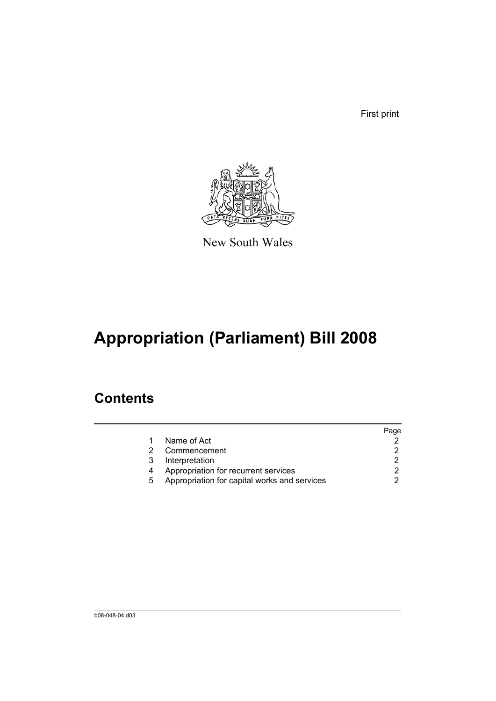First print



New South Wales

# **Appropriation (Parliament) Bill 2008**

### **Contents**

|   |                                              | Page |
|---|----------------------------------------------|------|
|   | Name of Act                                  |      |
|   | Commencement                                 |      |
| 3 | Interpretation                               |      |
|   | Appropriation for recurrent services         |      |
| 5 | Appropriation for capital works and services |      |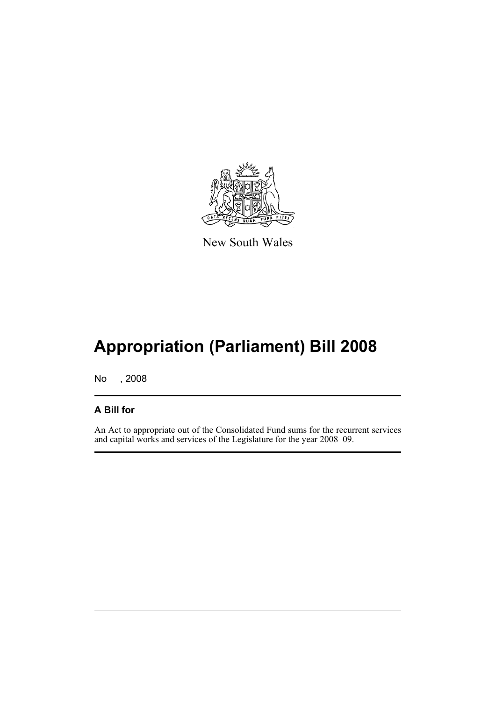

New South Wales

# **Appropriation (Parliament) Bill 2008**

No , 2008

#### **A Bill for**

An Act to appropriate out of the Consolidated Fund sums for the recurrent services and capital works and services of the Legislature for the year 2008–09.